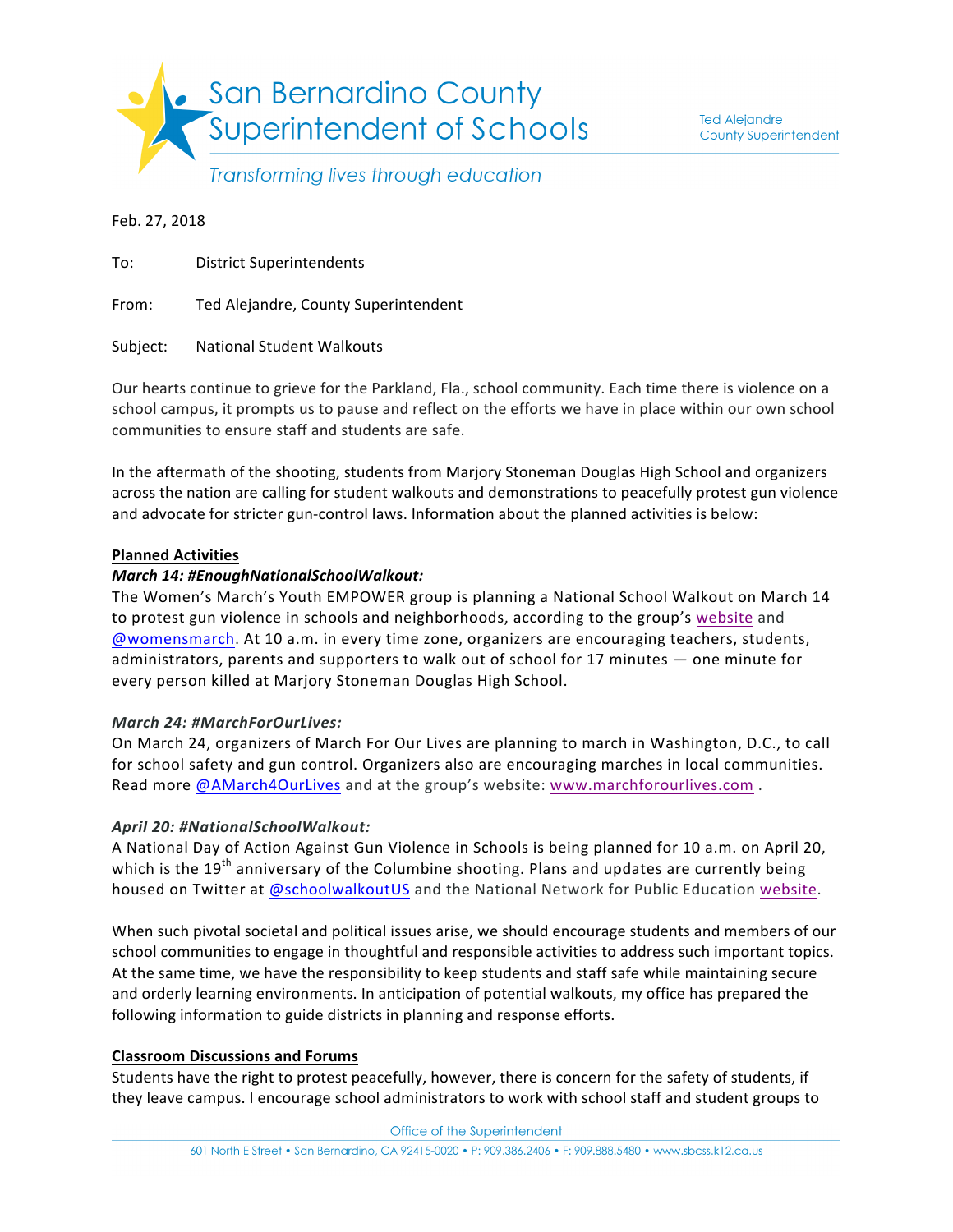

Feb. 27, 2018

From: Ted Alejandre, County Superintendent

Subject: National Student Walkouts

Our hearts continue to grieve for the Parkland, Fla., school community. Each time there is violence on a school campus, it prompts us to pause and reflect on the efforts we have in place within our own school communities to ensure staff and students are safe.

In the aftermath of the shooting, students from Marjory Stoneman Douglas High School and organizers across the nation are calling for student walkouts and demonstrations to peacefully protest gun violence and advocate for stricter gun-control laws. Information about the planned activities is below:

# **Planned Activities**

# *March 14: #EnoughNationalSchoolWalkout:*

The Women's March's Youth EMPOWER group is planning a National School Walkout on March 14 to protest gun violence in schools and neighborhoods, according to the group's website and @womensmarch. At 10 a.m. in every time zone, organizers are encouraging teachers, students, administrators, parents and supporters to walk out of school for 17 minutes — one minute for every person killed at Marjory Stoneman Douglas High School.

# *March 24: #MarchForOurLives:*

On March 24, organizers of March For Our Lives are planning to march in Washington, D.C., to call for school safety and gun control. Organizers also are encouraging marches in local communities. Read more @AMarch4OurLives and at the group's website: www.marchforourlives.com.

# *April 20: #NationalSchoolWalkout:*

A National Day of Action Against Gun Violence in Schools is being planned for 10 a.m. on April 20, which is the  $19<sup>th</sup>$  anniversary of the Columbine shooting. Plans and updates are currently being housed on Twitter at @schoolwalkoutUS and the National Network for Public Education website.

When such pivotal societal and political issues arise, we should encourage students and members of our school communities to engage in thoughtful and responsible activities to address such important topics. At the same time, we have the responsibility to keep students and staff safe while maintaining secure and orderly learning environments. In anticipation of potential walkouts, my office has prepared the following information to guide districts in planning and response efforts.

# **Classroom Discussions and Forums**

Students have the right to protest peacefully, however, there is concern for the safety of students, if they leave campus. I encourage school administrators to work with school staff and student groups to